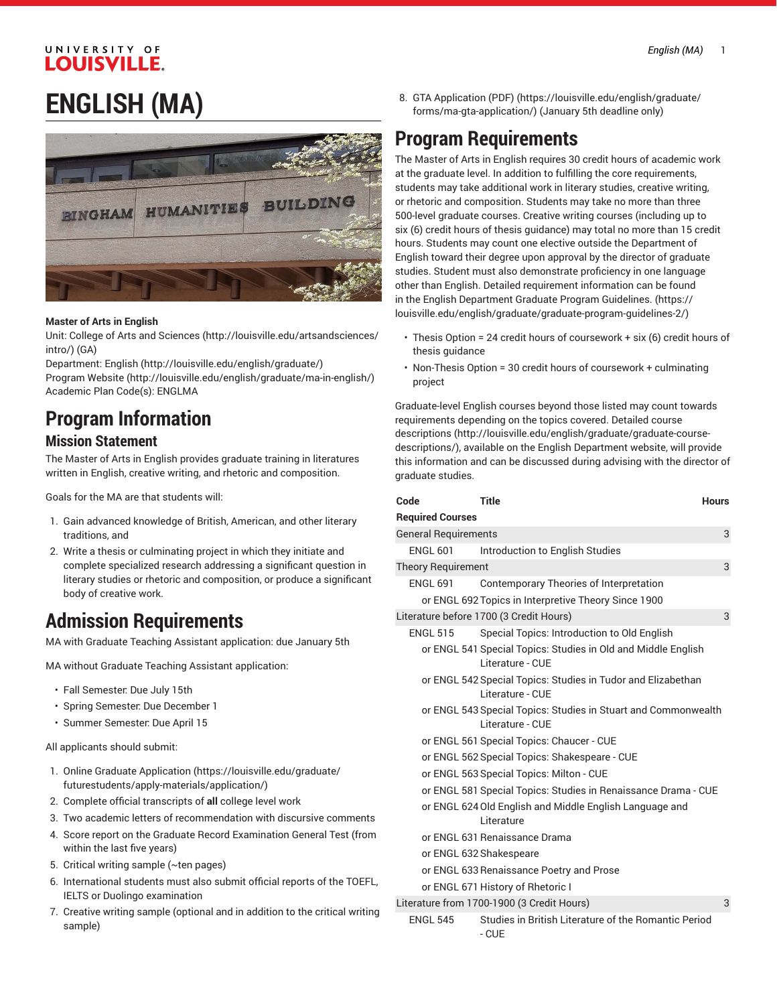#### UNIVERSITY OF **LOUISVILLE.**

## **ENGLISH (MA)**



#### **Master of Arts in English**

Unit: College of Arts and [Sciences \(http://louisville.edu/artsandsciences/](http://louisville.edu/artsandsciences/intro/) [intro/\)](http://louisville.edu/artsandsciences/intro/) (GA)

Department: [English](http://louisville.edu/english/graduate/) (<http://louisville.edu/english/graduate/>)

[Program](http://louisville.edu/english/graduate/ma-in-english/) Website [\(http://louisville.edu/english/graduate/ma-in-english/\)](http://louisville.edu/english/graduate/ma-in-english/) Academic Plan Code(s): ENGLMA

## **Program Information**

#### **Mission Statement**

The Master of Arts in English provides graduate training in literatures written in English, creative writing, and rhetoric and composition.

Goals for the MA are that students will:

- 1. Gain advanced knowledge of British, American, and other literary traditions, and
- 2. Write a thesis or culminating project in which they initiate and complete specialized research addressing a significant question in literary studies or rhetoric and composition, or produce a significant body of creative work.

### **Admission Requirements**

MA with Graduate Teaching Assistant application: due January 5th

MA without Graduate Teaching Assistant application:

- Fall Semester: Due July 15th
- Spring Semester: Due December 1
- Summer Semester: Due April 15

All applicants should submit:

- 1. [Online Graduate Application \(https://louisville.edu/graduate/](https://louisville.edu/graduate/futurestudents/apply-materials/application/) [futurestudents/apply-materials/application/\)](https://louisville.edu/graduate/futurestudents/apply-materials/application/)
- 2. Complete official transcripts of **all** college level work
- 3. Two academic letters of recommendation with discursive comments
- 4. Score report on the Graduate Record Examination General Test (from within the last five years)
- 5. Critical writing sample (~ten pages)
- 6. International students must also submit official reports of the TOEFL, IELTS or Duolingo examination
- 7. Creative writing sample (optional and in addition to the critical writing sample)

8. GTA [Application](https://louisville.edu/english/graduate/forms/ma-gta-application/) (PDF) [\(https://louisville.edu/english/graduate/](https://louisville.edu/english/graduate/forms/ma-gta-application/) [forms/ma-gta-application/\)](https://louisville.edu/english/graduate/forms/ma-gta-application/) (January 5th deadline only)

### **Program Requirements**

The Master of Arts in English requires 30 credit hours of academic work at the graduate level. In addition to fulfilling the core requirements, students may take additional work in literary studies, creative writing, or rhetoric and composition. Students may take no more than three 500-level graduate courses. Creative writing courses (including up to six (6) credit hours of thesis guidance) may total no more than 15 credit hours. Students may count one elective outside the Department of English toward their degree upon approval by the director of graduate studies. Student must also demonstrate proficiency in one language other than English. Detailed requirement information can be found in the English [Department](https://louisville.edu/english/graduate/graduate-program-guidelines-2/) Graduate Program Guidelines. ([https://](https://louisville.edu/english/graduate/graduate-program-guidelines-2/) [louisville.edu/english/graduate/graduate-program-guidelines-2/](https://louisville.edu/english/graduate/graduate-program-guidelines-2/))

- Thesis Option = 24 credit hours of coursework + six (6) credit hours of thesis guidance
- Non-Thesis Option = 30 credit hours of coursework + culminating project

Graduate-level English courses beyond those listed may count towards requirements depending on the topics covered. Detailed [course](http://louisville.edu/english/graduate/graduate-course-descriptions/) [descriptions](http://louisville.edu/english/graduate/graduate-course-descriptions/) ([http://louisville.edu/english/graduate/graduate-course](http://louisville.edu/english/graduate/graduate-course-descriptions/)[descriptions/](http://louisville.edu/english/graduate/graduate-course-descriptions/)), available on the English Department website, will provide this information and can be discussed during advising with the director of graduate studies.

| Code                        | <b>Title</b>                                                                       | <b>Hours</b> |
|-----------------------------|------------------------------------------------------------------------------------|--------------|
| <b>Required Courses</b>     |                                                                                    |              |
| <b>General Requirements</b> |                                                                                    | 3            |
| <b>ENGL 601</b>             | Introduction to English Studies                                                    |              |
| <b>Theory Requirement</b>   |                                                                                    | 3            |
| <b>ENGL 691</b>             | Contemporary Theories of Interpretation                                            |              |
|                             | or ENGL 692 Topics in Interpretive Theory Since 1900                               |              |
|                             | Literature before 1700 (3 Credit Hours)                                            | 3            |
| <b>ENGL 515</b>             | Special Topics: Introduction to Old English                                        |              |
|                             | or ENGL 541 Special Topics: Studies in Old and Middle English<br>Literature - CUE  |              |
|                             | or ENGL 542 Special Topics: Studies in Tudor and Elizabethan<br>Literature - CUE   |              |
|                             | or ENGL 543 Special Topics: Studies in Stuart and Commonwealth<br>Literature - CUE |              |
|                             | or ENGL 561 Special Topics: Chaucer - CUE                                          |              |
|                             | or ENGL 562 Special Topics: Shakespeare - CUE                                      |              |
|                             | or ENGL 563 Special Topics: Milton - CUE                                           |              |
|                             | or ENGL 581 Special Topics: Studies in Renaissance Drama - CUE                     |              |
|                             | or ENGL 624 Old English and Middle English Language and<br>Literature              |              |
|                             | or ENGL 631 Renaissance Drama                                                      |              |
|                             | or ENGL 632 Shakespeare                                                            |              |
|                             | or ENGL 633 Renaissance Poetry and Prose                                           |              |
|                             | or ENGL 671 History of Rhetoric I                                                  |              |
|                             | Literature from 1700-1900 (3 Credit Hours)                                         | 3            |
| $FNGI$ 545                  | Studies in British Literature of the Bomantic Period                               |              |

ENGL 545 Studies in British Literature of the Romantic Period - CUE